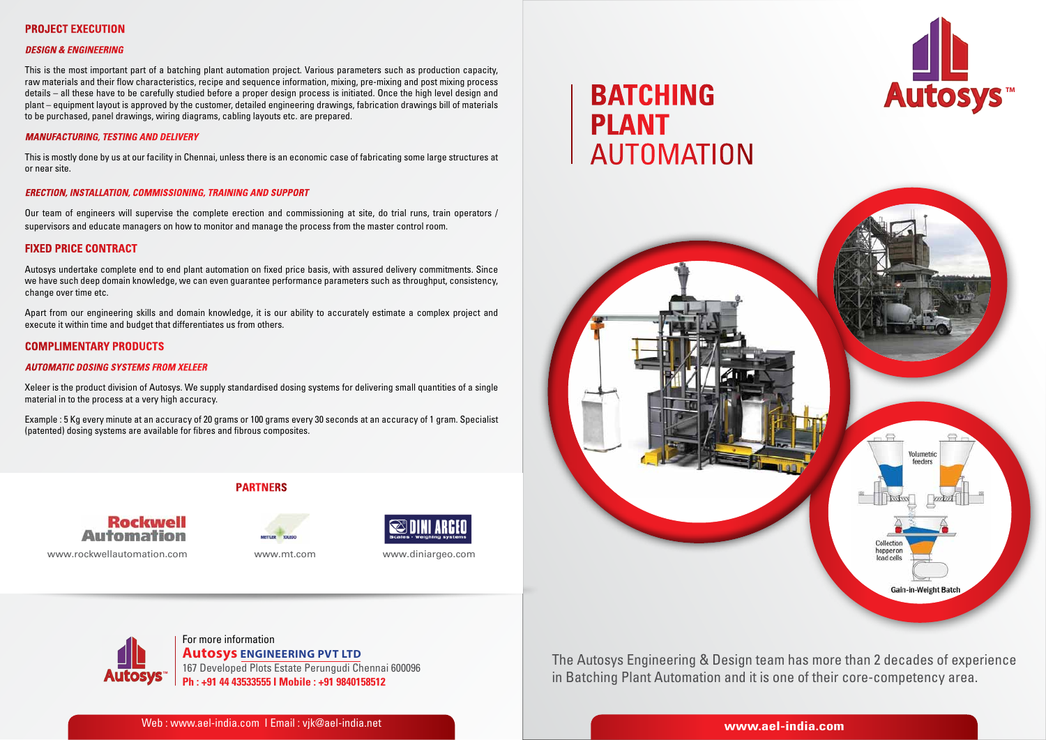

# **Batching Plant AUTOMATION**



The Autosys Engineering & Design team has more than 2 decades of experience in Batching Plant Automation and it is one of their core-competency area.

## **Project Execution**

#### *Design & Engineering*

This is the most important part of a batching plant automation project. Various parameters such as production capacity, raw materials and their flow characteristics, recipe and sequence information, mixing, pre-mixing and post mixing process details – all these have to be carefully studied before a proper design process is initiated. Once the high level design and plant – equipment layout is approved by the customer, detailed engineering drawings, fabrication drawings bill of materials to be purchased, panel drawings, wiring diagrams, cabling layouts etc. are prepared.

#### *Manufacturing, Testing and Delivery*

This is mostly done by us at our facility in Chennai, unless there is an economic case of fabricating some large structures at or near site.

#### *Erection, Installation, Commissioning, Training and Support*

Our team of engineers will supervise the complete erection and commissioning at site, do trial runs, train operators / supervisors and educate managers on how to monitor and manage the process from the master control room.

#### **Fixed Price Contract**

Autosys undertake complete end to end plant automation on fixed price basis, with assured delivery commitments. Since we have such deep domain knowledge, we can even guarantee performance parameters such as throughput, consistency, change over time etc.

Apart from our engineering skills and domain knowledge, it is our ability to accurately estimate a complex project and execute it within time and budget that differentiates us from others.

#### **Complimentary Products**

#### *Automatic Dosing Systems from Xeleer*

Xeleer is the product division of Autosys. We supply standardised dosing systems for delivering small quantities of a single material in to the process at a very high accuracy.

Example : 5 Kg every minute at an accuracy of 20 grams or 100 grams every 30 seconds at an accuracy of 1 gram. Specialist (patented) dosing systems are available for fibres and fibrous composites.



# **PARTNers**





www.rockwellautomation.com www.mt.com www.diniargeo.com

167 Developed Plots Estate Perungudi Chennai 600096 **Ph : +91 44 43533555 I Mobile : +91 9840158512**

**Autosys Engineering Pvt Ltd**

For more information